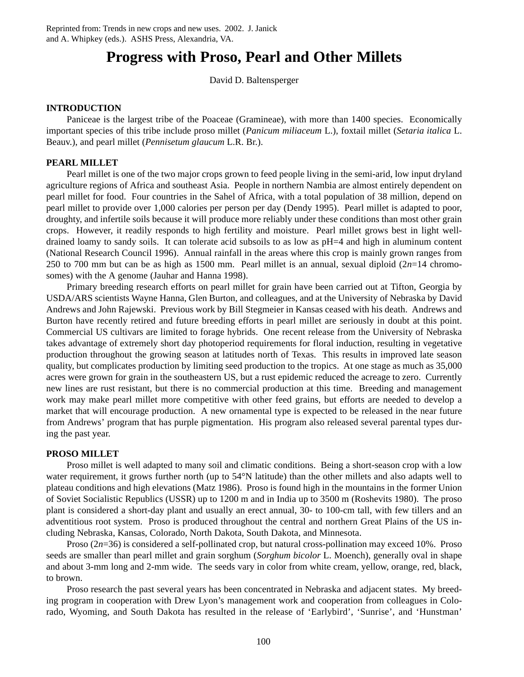# **Progress with Proso, Pearl and Other Millets**

David D. Baltensperger

## **INTRODUCTION**

Paniceae is the largest tribe of the Poaceae (Gramineae), with more than 1400 species. Economically important species of this tribe include proso millet (*Panicum miliaceum* L.), foxtail millet (*Setaria italica* L. Beauv.), and pearl millet (*Pennisetum glaucum* L.R. Br.).

## **PEARL MILLET**

Pearl millet is one of the two major crops grown to feed people living in the semi-arid, low input dryland agriculture regions of Africa and southeast Asia. People in northern Nambia are almost entirely dependent on pearl millet for food. Four countries in the Sahel of Africa, with a total population of 38 million, depend on pearl millet to provide over 1,000 calories per person per day (Dendy 1995). Pearl millet is adapted to poor, droughty, and infertile soils because it will produce more reliably under these conditions than most other grain crops. However, it readily responds to high fertility and moisture. Pearl millet grows best in light welldrained loamy to sandy soils. It can tolerate acid subsoils to as low as pH=4 and high in aluminum content (National Research Council 1996). Annual rainfall in the areas where this crop is mainly grown ranges from 250 to 700 mm but can be as high as 1500 mm. Pearl millet is an annual, sexual diploid (2*n*=14 chromosomes) with the A genome (Jauhar and Hanna 1998).

Primary breeding research efforts on pearl millet for grain have been carried out at Tifton, Georgia by USDA/ARS scientists Wayne Hanna, Glen Burton, and colleagues, and at the University of Nebraska by David Andrews and John Rajewski. Previous work by Bill Stegmeier in Kansas ceased with his death. Andrews and Burton have recently retired and future breeding efforts in pearl millet are seriously in doubt at this point. Commercial US cultivars are limited to forage hybrids. One recent release from the University of Nebraska takes advantage of extremely short day photoperiod requirements for floral induction, resulting in vegetative production throughout the growing season at latitudes north of Texas. This results in improved late season quality, but complicates production by limiting seed production to the tropics. At one stage as much as 35,000 acres were grown for grain in the southeastern US, but a rust epidemic reduced the acreage to zero. Currently new lines are rust resistant, but there is no commercial production at this time. Breeding and management work may make pearl millet more competitive with other feed grains, but efforts are needed to develop a market that will encourage production. A new ornamental type is expected to be released in the near future from Andrews' program that has purple pigmentation. His program also released several parental types during the past year.

### **PROSO MILLET**

Proso millet is well adapted to many soil and climatic conditions. Being a short-season crop with a low water requirement, it grows further north (up to 54°N latitude) than the other millets and also adapts well to plateau conditions and high elevations (Matz 1986). Proso is found high in the mountains in the former Union of Soviet Socialistic Republics (USSR) up to 1200 m and in India up to 3500 m (Roshevits 1980). The proso plant is considered a short-day plant and usually an erect annual, 30- to 100-cm tall, with few tillers and an adventitious root system. Proso is produced throughout the central and northern Great Plains of the US including Nebraska, Kansas, Colorado, North Dakota, South Dakota, and Minnesota.

Proso (2*n*=36) is considered a self-pollinated crop, but natural cross-pollination may exceed 10%. Proso seeds are smaller than pearl millet and grain sorghum (*Sorghum bicolor* L. Moench), generally oval in shape and about 3-mm long and 2-mm wide. The seeds vary in color from white cream, yellow, orange, red, black, to brown.

Proso research the past several years has been concentrated in Nebraska and adjacent states. My breeding program in cooperation with Drew Lyon's management work and cooperation from colleagues in Colorado, Wyoming, and South Dakota has resulted in the release of 'Earlybird', 'Sunrise', and 'Hunstman'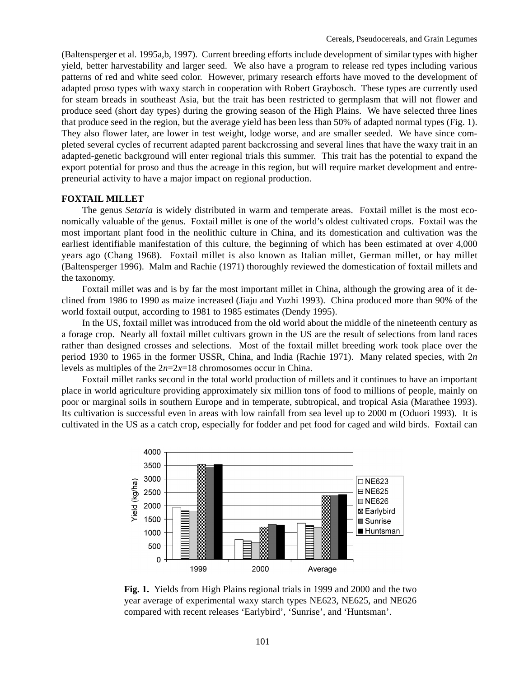(Baltensperger et al. 1995a,b, 1997). Current breeding efforts include development of similar types with higher yield, better harvestability and larger seed. We also have a program to release red types including various patterns of red and white seed color. However, primary research efforts have moved to the development of adapted proso types with waxy starch in cooperation with Robert Graybosch. These types are currently used for steam breads in southeast Asia, but the trait has been restricted to germplasm that will not flower and produce seed (short day types) during the growing season of the High Plains. We have selected three lines that produce seed in the region, but the average yield has been less than 50% of adapted normal types (Fig. 1). They also flower later, are lower in test weight, lodge worse, and are smaller seeded. We have since completed several cycles of recurrent adapted parent backcrossing and several lines that have the waxy trait in an adapted-genetic background will enter regional trials this summer. This trait has the potential to expand the export potential for proso and thus the acreage in this region, but will require market development and entrepreneurial activity to have a major impact on regional production.

#### **FOXTAIL MILLET**

The genus *Setaria* is widely distributed in warm and temperate areas. Foxtail millet is the most economically valuable of the genus. Foxtail millet is one of the world's oldest cultivated crops. Foxtail was the most important plant food in the neolithic culture in China, and its domestication and cultivation was the earliest identifiable manifestation of this culture, the beginning of which has been estimated at over 4,000 years ago (Chang 1968). Foxtail millet is also known as Italian millet, German millet, or hay millet (Baltensperger 1996). Malm and Rachie (1971) thoroughly reviewed the domestication of foxtail millets and the taxonomy.

Foxtail millet was and is by far the most important millet in China, although the growing area of it declined from 1986 to 1990 as maize increased (Jiaju and Yuzhi 1993). China produced more than 90% of the world foxtail output, according to 1981 to 1985 estimates (Dendy 1995).

In the US, foxtail millet was introduced from the old world about the middle of the nineteenth century as a forage crop. Nearly all foxtail millet cultivars grown in the US are the result of selections from land races rather than designed crosses and selections. Most of the foxtail millet breeding work took place over the period 1930 to 1965 in the former USSR, China, and India (Rachie 1971). Many related species, with 2*n* levels as multiples of the 2*n*=2*x*=18 chromosomes occur in China.

Foxtail millet ranks second in the total world production of millets and it continues to have an important place in world agriculture providing approximately six million tons of food to millions of people, mainly on poor or marginal soils in southern Europe and in temperate, subtropical, and tropical Asia (Marathee 1993). Its cultivation is successful even in areas with low rainfall from sea level up to 2000 m (Oduori 1993). It is cultivated in the US as a catch crop, especially for fodder and pet food for caged and wild birds. Foxtail can



**Fig. 1.** Yields from High Plains regional trials in 1999 and 2000 and the two year average of experimental waxy starch types NE623, NE625, and NE626 compared with recent releases 'Earlybird', 'Sunrise', and 'Huntsman'.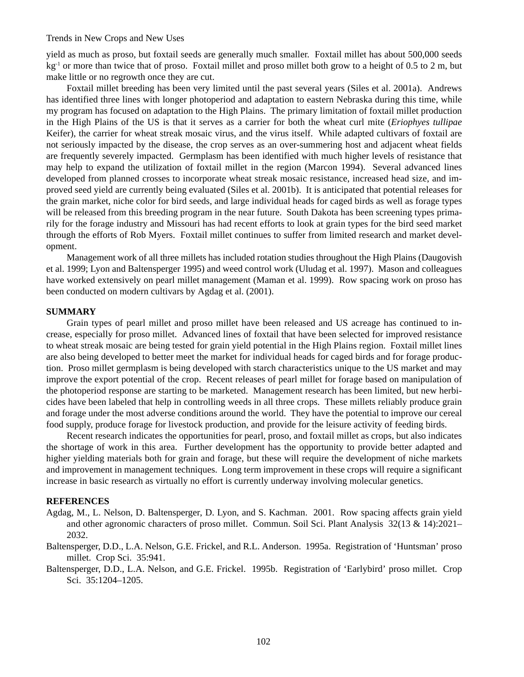#### Trends in New Crops and New Uses

yield as much as proso, but foxtail seeds are generally much smaller. Foxtail millet has about 500,000 seeds kg<sup>-1</sup> or more than twice that of proso. Foxtail millet and proso millet both grow to a height of 0.5 to 2 m, but make little or no regrowth once they are cut.

Foxtail millet breeding has been very limited until the past several years (Siles et al. 2001a). Andrews has identified three lines with longer photoperiod and adaptation to eastern Nebraska during this time, while my program has focused on adaptation to the High Plains. The primary limitation of foxtail millet production in the High Plains of the US is that it serves as a carrier for both the wheat curl mite (*Eriophyes tullipae* Keifer), the carrier for wheat streak mosaic virus, and the virus itself. While adapted cultivars of foxtail are not seriously impacted by the disease, the crop serves as an over-summering host and adjacent wheat fields are frequently severely impacted. Germplasm has been identified with much higher levels of resistance that may help to expand the utilization of foxtail millet in the region (Marcon 1994). Several advanced lines developed from planned crosses to incorporate wheat streak mosaic resistance, increased head size, and improved seed yield are currently being evaluated (Siles et al. 2001b). It is anticipated that potential releases for the grain market, niche color for bird seeds, and large individual heads for caged birds as well as forage types will be released from this breeding program in the near future. South Dakota has been screening types primarily for the forage industry and Missouri has had recent efforts to look at grain types for the bird seed market through the efforts of Rob Myers. Foxtail millet continues to suffer from limited research and market development.

Management work of all three millets has included rotation studies throughout the High Plains (Daugovish et al. 1999; Lyon and Baltensperger 1995) and weed control work (Uludag et al. 1997). Mason and colleagues have worked extensively on pearl millet management (Maman et al. 1999). Row spacing work on proso has been conducted on modern cultivars by Agdag et al. (2001).

#### **SUMMARY**

Grain types of pearl millet and proso millet have been released and US acreage has continued to increase, especially for proso millet. Advanced lines of foxtail that have been selected for improved resistance to wheat streak mosaic are being tested for grain yield potential in the High Plains region. Foxtail millet lines are also being developed to better meet the market for individual heads for caged birds and for forage production. Proso millet germplasm is being developed with starch characteristics unique to the US market and may improve the export potential of the crop. Recent releases of pearl millet for forage based on manipulation of the photoperiod response are starting to be marketed. Management research has been limited, but new herbicides have been labeled that help in controlling weeds in all three crops. These millets reliably produce grain and forage under the most adverse conditions around the world. They have the potential to improve our cereal food supply, produce forage for livestock production, and provide for the leisure activity of feeding birds.

Recent research indicates the opportunities for pearl, proso, and foxtail millet as crops, but also indicates the shortage of work in this area. Further development has the opportunity to provide better adapted and higher yielding materials both for grain and forage, but these will require the development of niche markets and improvement in management techniques. Long term improvement in these crops will require a significant increase in basic research as virtually no effort is currently underway involving molecular genetics.

#### **REFERENCES**

- Agdag, M., L. Nelson, D. Baltensperger, D. Lyon, and S. Kachman. 2001. Row spacing affects grain yield and other agronomic characters of proso millet. Commun. Soil Sci. Plant Analysis 32(13 & 14):2021– 2032.
- Baltensperger, D.D., L.A. Nelson, G.E. Frickel, and R.L. Anderson. 1995a. Registration of 'Huntsman' proso millet. Crop Sci. 35:941.
- Baltensperger, D.D., L.A. Nelson, and G.E. Frickel. 1995b. Registration of 'Earlybird' proso millet. Crop Sci. 35:1204–1205.